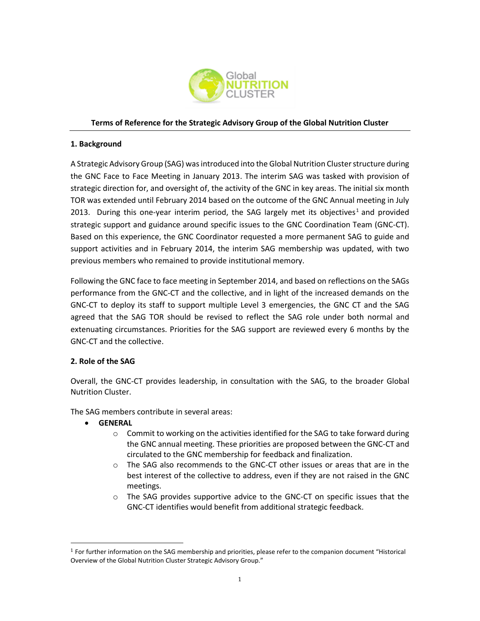

### **Terms of Reference for the Strategic Advisory Group of the Global Nutrition Cluster**

#### **1. Background**

A Strategic Advisory Group (SAG) was introduced into the Global Nutrition Cluster structure during the GNC Face to Face Meeting in January 2013. The interim SAG was tasked with provision of strategic direction for, and oversight of, the activity of the GNC in key areas. The initial six month TOR was extended until February 2014 based on the outcome of the GNC Annual meeting in July 2013. During this one-year interim period, the SAG largely met its objectives<sup>1</sup> and provided strategic support and guidance around specific issues to the GNC Coordination Team (GNC-CT). Based on this experience, the GNC Coordinator requested a more permanent SAG to guide and support activities and in February 2014, the interim SAG membership was updated, with two previous members who remained to provide institutional memory.

Following the GNC face to face meeting in September 2014, and based on reflections on the SAGs performance from the GNC-CT and the collective, and in light of the increased demands on the GNC-CT to deploy its staff to support multiple Level 3 emergencies, the GNC CT and the SAG agreed that the SAG TOR should be revised to reflect the SAG role under both normal and extenuating circumstances. Priorities for the SAG support are reviewed every 6 months by the GNC-CT and the collective.

#### **2. Role of the SAG**

Overall, the GNC-CT provides leadership, in consultation with the SAG, to the broader Global Nutrition Cluster.

The SAG members contribute in several areas:

• **GENERAL**

l

- $\circ$  Commit to working on the activities identified for the SAG to take forward during the GNC annual meeting. These priorities are proposed between the GNC-CT and circulated to the GNC membership for feedback and finalization.
- $\circ$  The SAG also recommends to the GNC-CT other issues or areas that are in the best interest of the collective to address, even if they are not raised in the GNC meetings.
- $\circ$  The SAG provides supportive advice to the GNC-CT on specific issues that the GNC-CT identifies would benefit from additional strategic feedback.

<sup>1</sup> For further information on the SAG membership and priorities, please refer to the companion document "Historical Overview of the Global Nutrition Cluster Strategic Advisory Group."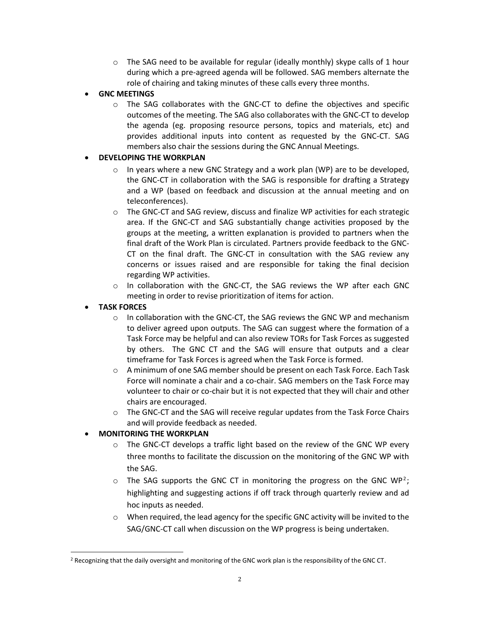$\circ$  The SAG need to be available for regular (ideally monthly) skype calls of 1 hour during which a pre-agreed agenda will be followed. SAG members alternate the role of chairing and taking minutes of these calls every three months.

# • **GNC MEETINGS**

 $\circ$  The SAG collaborates with the GNC-CT to define the objectives and specific outcomes of the meeting. The SAG also collaborates with the GNC-CT to develop the agenda (eg. proposing resource persons, topics and materials, etc) and provides additional inputs into content as requested by the GNC-CT. SAG members also chair the sessions during the GNC Annual Meetings.

# • **DEVELOPING THE WORKPLAN**

- $\circ$  In years where a new GNC Strategy and a work plan (WP) are to be developed, the GNC-CT in collaboration with the SAG is responsible for drafting a Strategy and a WP (based on feedback and discussion at the annual meeting and on teleconferences).
- $\circ$  The GNC-CT and SAG review, discuss and finalize WP activities for each strategic area. If the GNC-CT and SAG substantially change activities proposed by the groups at the meeting, a written explanation is provided to partners when the final draft of the Work Plan is circulated. Partners provide feedback to the GNC-CT on the final draft. The GNC-CT in consultation with the SAG review any concerns or issues raised and are responsible for taking the final decision regarding WP activities.
- $\circ$  In collaboration with the GNC-CT, the SAG reviews the WP after each GNC meeting in order to revise prioritization of items for action.

## • **TASK FORCES**

 $\overline{\phantom{0}}$ 

- o In collaboration with the GNC-CT, the SAG reviews the GNC WP and mechanism to deliver agreed upon outputs. The SAG can suggest where the formation of a Task Force may be helpful and can also review TORs for Task Forces as suggested by others. The GNC CT and the SAG will ensure that outputs and a clear timeframe for Task Forces is agreed when the Task Force is formed.
- o A minimum of one SAG member should be present on each Task Force. Each Task Force will nominate a chair and a co-chair. SAG members on the Task Force may volunteer to chair or co-chair but it is not expected that they will chair and other chairs are encouraged.
- o The GNC-CT and the SAG will receive regular updates from the Task Force Chairs and will provide feedback as needed.

# • **MONITORING THE WORKPLAN**

- $\circ$  The GNC-CT develops a traffic light based on the review of the GNC WP every three months to facilitate the discussion on the monitoring of the GNC WP with the SAG.
- $\circ$  The SAG supports the GNC CT in monitoring the progress on the GNC WP<sup>2</sup>; highlighting and suggesting actions if off track through quarterly review and ad hoc inputs as needed.
- o When required, the lead agency for the specific GNC activity will be invited to the SAG/GNC-CT call when discussion on the WP progress is being undertaken.

<sup>&</sup>lt;sup>2</sup> Recognizing that the daily oversight and monitoring of the GNC work plan is the responsibility of the GNC CT.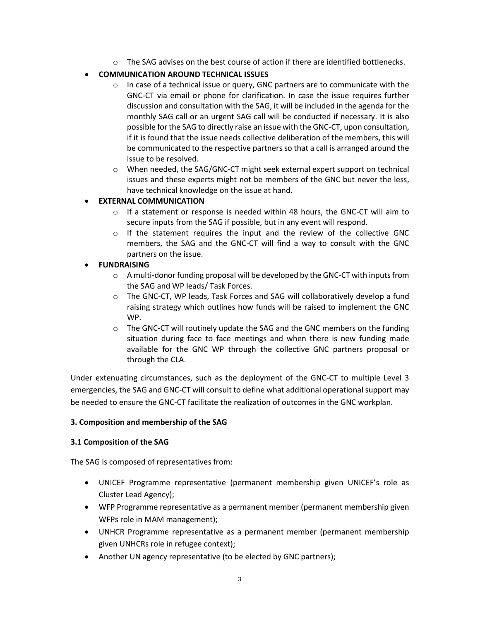$\circ$  The SAG advises on the best course of action if there are identified bottlenecks.

# • **COMMUNICATION AROUND TECHNICAL ISSUES**

- $\circ$  In case of a technical issue or query, GNC partners are to communicate with the GNC-CT via email or phone for clarification. In case the issue requires further discussion and consultation with the SAG, it will be included in the agenda for the monthly SAG call or an urgent SAG call will be conducted if necessary. It is also possible for the SAG to directly raise an issue with the GNC-CT, upon consultation, if it is found that the issue needs collective deliberation of the members, this will be communicated to the respective partners so that a call is arranged around the issue to be resolved.
- o When needed, the SAG/GNC-CT might seek external expert support on technical issues and these experts might not be members of the GNC but never the less, have technical knowledge on the issue at hand.

# • **EXTERNAL COMMUNICATION**

- $\circ$  If a statement or response is needed within 48 hours, the GNC-CT will aim to secure inputs from the SAG if possible, but in any event will respond.
- $\circ$  If the statement requires the input and the review of the collective GNC members, the SAG and the GNC-CT will find a way to consult with the GNC partners on the issue.

# • **FUNDRAISING**

- $\circ$  A multi-donor funding proposal will be developed by the GNC-CT with inputs from the SAG and WP leads/ Task Forces.
- o The GNC-CT, WP leads, Task Forces and SAG will collaboratively develop a fund raising strategy which outlines how funds will be raised to implement the GNC WP.
- $\circ$  The GNC-CT will routinely update the SAG and the GNC members on the funding situation during face to face meetings and when there is new funding made available for the GNC WP through the collective GNC partners proposal or through the CLA.

Under extenuating circumstances, such as the deployment of the GNC-CT to multiple Level 3 emergencies, the SAG and GNC-CT will consult to define what additional operational support may be needed to ensure the GNC-CT facilitate the realization of outcomes in the GNC workplan.

## **3. Composition and membership of the SAG**

## **3.1 Composition of the SAG**

The SAG is composed of representatives from:

- UNICEF Programme representative (permanent membership given UNICEF's role as Cluster Lead Agency);
- WFP Programme representative as a permanent member (permanent membership given WFPs role in MAM management);
- UNHCR Programme representative as a permanent member (permanent membership given UNHCRs role in refugee context);
- Another UN agency representative (to be elected by GNC partners);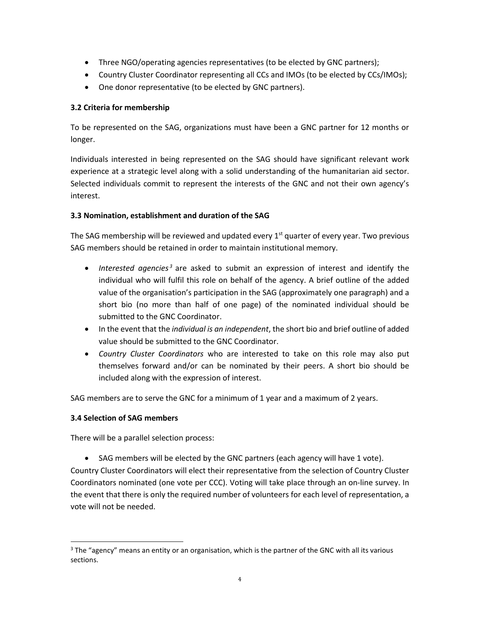- Three NGO/operating agencies representatives (to be elected by GNC partners);
- Country Cluster Coordinator representing all CCs and IMOs (to be elected by CCs/IMOs);
- One donor representative (to be elected by GNC partners).

### **3.2 Criteria for membership**

To be represented on the SAG, organizations must have been a GNC partner for 12 months or longer.

Individuals interested in being represented on the SAG should have significant relevant work experience at a strategic level along with a solid understanding of the humanitarian aid sector. Selected individuals commit to represent the interests of the GNC and not their own agency's interest.

### **3.3 Nomination, establishment and duration of the SAG**

The SAG membership will be reviewed and updated every  $1<sup>st</sup>$  quarter of every year. Two previous SAG members should be retained in order to maintain institutional memory.

- *Interested agencies*<sup>3</sup> are asked to submit an expression of interest and identify the individual who will fulfil this role on behalf of the agency. A brief outline of the added value of the organisation's participation in the SAG (approximately one paragraph) and a short bio (no more than half of one page) of the nominated individual should be submitted to the GNC Coordinator.
- In the event that the *individual is an independent*, the short bio and brief outline of added value should be submitted to the GNC Coordinator.
- *Country Cluster Coordinators* who are interested to take on this role may also put themselves forward and/or can be nominated by their peers. A short bio should be included along with the expression of interest.

SAG members are to serve the GNC for a minimum of 1 year and a maximum of 2 years.

#### **3.4 Selection of SAG members**

l

There will be a parallel selection process:

• SAG members will be elected by the GNC partners (each agency will have 1 vote).

Country Cluster Coordinators will elect their representative from the selection of Country Cluster Coordinators nominated (one vote per CCC). Voting will take place through an on-line survey. In the event that there is only the required number of volunteers for each level of representation, a vote will not be needed.

 $3$  The "agency" means an entity or an organisation, which is the partner of the GNC with all its various sections.